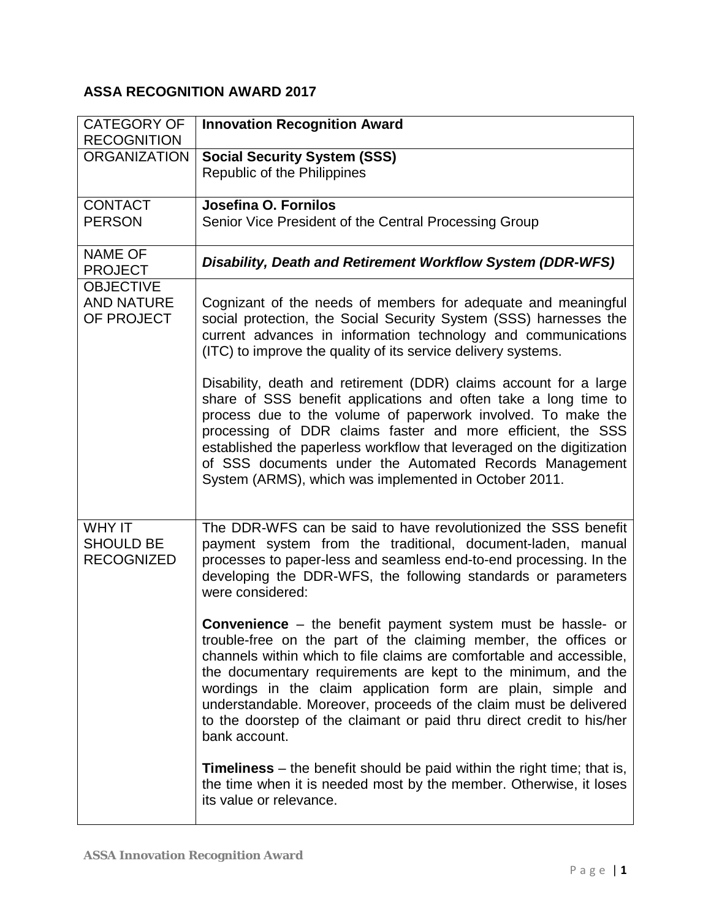## **ASSA RECOGNITION AWARD 2017**

| <b>CATEGORY OF</b><br><b>RECOGNITION</b>               | <b>Innovation Recognition Award</b>                                                                                                                                                                                                                                                                                                                                                                                                                                                                           |
|--------------------------------------------------------|---------------------------------------------------------------------------------------------------------------------------------------------------------------------------------------------------------------------------------------------------------------------------------------------------------------------------------------------------------------------------------------------------------------------------------------------------------------------------------------------------------------|
| <b>ORGANIZATION</b>                                    | <b>Social Security System (SSS)</b><br>Republic of the Philippines                                                                                                                                                                                                                                                                                                                                                                                                                                            |
| <b>CONTACT</b><br><b>PERSON</b>                        | Josefina O. Fornilos<br>Senior Vice President of the Central Processing Group                                                                                                                                                                                                                                                                                                                                                                                                                                 |
| <b>NAME OF</b><br><b>PROJECT</b>                       | Disability, Death and Retirement Workflow System (DDR-WFS)                                                                                                                                                                                                                                                                                                                                                                                                                                                    |
| <b>OBJECTIVE</b><br><b>AND NATURE</b><br>OF PROJECT    | Cognizant of the needs of members for adequate and meaningful<br>social protection, the Social Security System (SSS) harnesses the<br>current advances in information technology and communications<br>(ITC) to improve the quality of its service delivery systems.                                                                                                                                                                                                                                          |
|                                                        | Disability, death and retirement (DDR) claims account for a large<br>share of SSS benefit applications and often take a long time to<br>process due to the volume of paperwork involved. To make the<br>processing of DDR claims faster and more efficient, the SSS<br>established the paperless workflow that leveraged on the digitization<br>of SSS documents under the Automated Records Management<br>System (ARMS), which was implemented in October 2011.                                              |
| <b>WHY IT</b><br><b>SHOULD BE</b><br><b>RECOGNIZED</b> | The DDR-WFS can be said to have revolutionized the SSS benefit<br>payment system from the traditional, document-laden, manual<br>processes to paper-less and seamless end-to-end processing. In the<br>developing the DDR-WFS, the following standards or parameters<br>were considered:                                                                                                                                                                                                                      |
|                                                        | <b>Convenience</b> – the benefit payment system must be hassle- or<br>trouble-free on the part of the claiming member, the offices or<br>channels within which to file claims are comfortable and accessible,<br>the documentary requirements are kept to the minimum, and the<br>wordings in the claim application form are plain, simple and<br>understandable. Moreover, proceeds of the claim must be delivered<br>to the doorstep of the claimant or paid thru direct credit to his/her<br>bank account. |
|                                                        | <b>Timeliness</b> – the benefit should be paid within the right time; that is,<br>the time when it is needed most by the member. Otherwise, it loses<br>its value or relevance.                                                                                                                                                                                                                                                                                                                               |